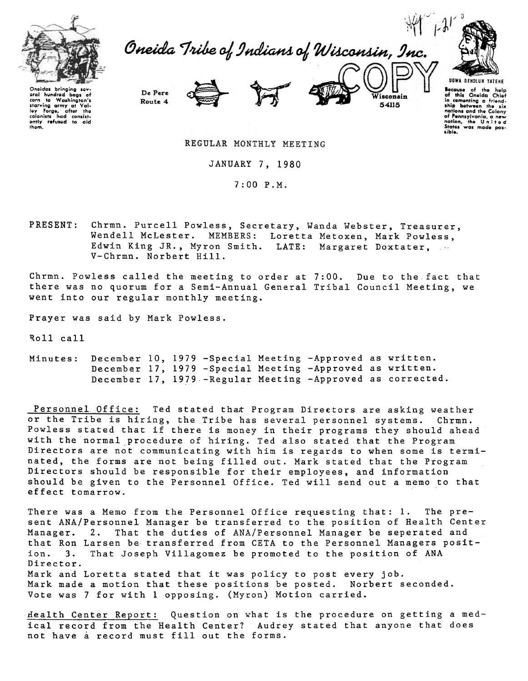

Oneida Tribe of Indians of Wisconsin, Inc.



Oneidas bringing sev-<br>eral hundred bags of oral hundrod bags of<br>corn to Washington's<br>starving army at Val-<br>ley Forge, after the<br>colonists had consistently refused to aid<br>them.



Wisconsin 54115

Because of the help<br>of this Oneida Chief<br>of this Oneida Chief<br>in comenting a friend-<br>ship between the six<br>nations and the Colony<br>of Pennsylvania, a new<br>Sitots was made pos-<br>Sitots was made pos-<br>sible. sible.

REGULAR MONTHLY MEETING

JANUARY 7, 1980

7:00 P.M~

PRESENT: Chrmn. Purcell Powless, Secretary, Wanda Webster, Treasurer, Wendell McLester. MEMBERS: Loretta Metoxen, Mark Powless, Edwin King JR., Myron Smith. LATE: Margaret Doxtater, V-Chrmn. Norbert Hill.

Chrmn. Powless called the meeting to order at 7:00. Due to the fact that there was no quorum for a Semi-Annual General Tribal Council Meeting, we went into our regular monthly meeting.

Prayer was said by Mark Powless.

De Pere

Route 4

~oll call

December 10, 1979 - Special Meeting - Approved as writ December 17, 1979 - Special Meeting - Approved as writ December 17, 1979 - Regular Meeting - Approved as correc Minutes:

Personnel Office: Ted stated that Program Directors are asking weather or the Tribe is hiring, the Tribe has several personnel systems. Chrmn. Powless stated that if there is money in their programs they should ahead with the normal procedure of hiring. Ted also stated that the Program Directors are not communicating with him is regards to when some is terminated, the forms are not being filled out. Mark stated that the Program Directors should be responsible for their employees, and information should be given to the Personnel Office. Ted will send out a memo to that effect tomarrow.

There was a Memo from the Personnel Office requesting that: 1. The present ANA/Personnel Manager be transferred to the position of Health Center Manager. 2. That the duties of ANA/Personnel Manager be seperated and that Ron Larsen be transferred from CETA to the Personnel Managers position. 3. That Joseph Villagomez be promoted to the position of ANA Director. Mark and Loretta stated that it was policy to post every job. Mark made a motion that these positions be posted. Norbert seconded. Vote was 7 for with 1 opposing. (Myron) Motion carried.

Health Center Report: Question on what is the procedure on getting a medical record from the Health Center? Audrey stated that anyone that does not have a record must fill out the forms.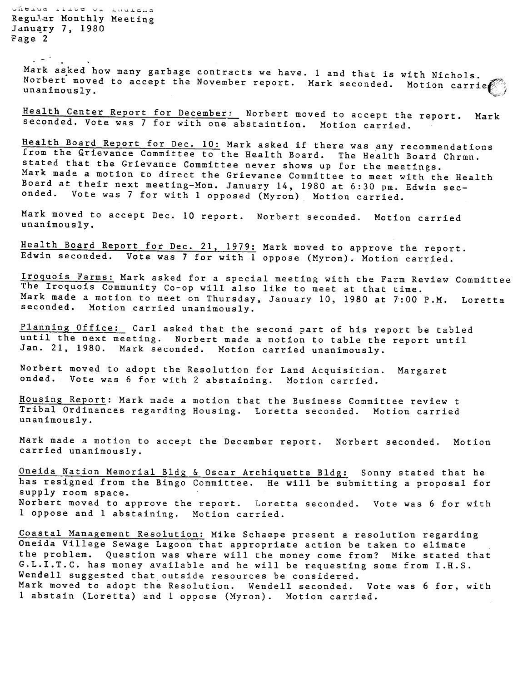Jheiud llive or lautans Regular Monthly Meeting January 7, 1980 Page 2

 $-$  -  $-$ 

Mark asked how many garbage contracts we have. I and that is with Nichols. Norbert moved to accept the November report. Mark seconded. Motion carri

Health Center Report for December: Norbert moved to accept the report. Mark Seconded. Vote was 7 for with one abstaintion. Motion carried.

Health Board Report for Dec. 10: Mark asked if there was any recommendations from the Grievance Committee to the Health Board. The Health Board Chrmn. stated that the Grievance Committee never shows up for the meetings. Mark made a motion to direct the Grievance Committee to meet with the Health Board at their next meeting-Mon. January 14, 1980 at 6:30 pm. Edwin seconded. Vote was 7 for with 1 opposed (Myron) Motion carried.

Mark moved to accept Dec. 10 report. Norbert seconded. Motion carri unanimously.

Health Board Report for Dec. 21, 1979: Mark moved to approve the report. Edwin seconded. Vote was 7 for with 1 oppose (Myron). Motion carried.

Iroquois Farms: Mark asked for a special meeting with the Farm Review Committee The Iroquois Community Co-op will also like to meet at that time. Mark made a motion to meet on Thursday, January 10, 1980 at 7:00 P.M. Loretta seconded. Motion carried unanimously.

Planning Office: Carl asked that the second part of his report be tabled until the next meeting. Norbert made a motion to table the report until Jan. 21, 1980. Mark seconded. Motion carried unanimously.

Norbert moved to adopt the Resolution for Land Acquisition. Margar onded. Vote was 6 for with 2 abstaining. Motion carried.

Housing Report: Mark made a motion that the Business Committee review t Tribal Ordinances regarding Housing. Loretta seconded. Motion carried unanimously.

Mark made a motion to accept the December report. Norbert seconded. Motion carried unanimously.

Oneida Nation Memorial Bldg & Oscar Archiquette Bldg: Sonny stated that he has resigned from the Bingo Committee. He will be submitting a proposal for supply room space. Norbert moved to approve the report. Loretta seconded. Vote was 6 for with 1 oppose and 1. abstaining. Motion carried.

Coastal Management Resolution: Mike Schaepe present a resolution regarding Oneida Villege Sewage Lagoon that appropriate action be taken to elimate the problem. Question was where will the money come from? Mike stated that G.L.I.T.C. has money available and he will be requesting some from I.R.S. Wendell suggested that outside resources be considered. Mark moved to adopt the Resolution. Wendell seconded. Vote was 6 for, with 1 abstain (Loretta) and 1 oppose (Myron). Motion carried.